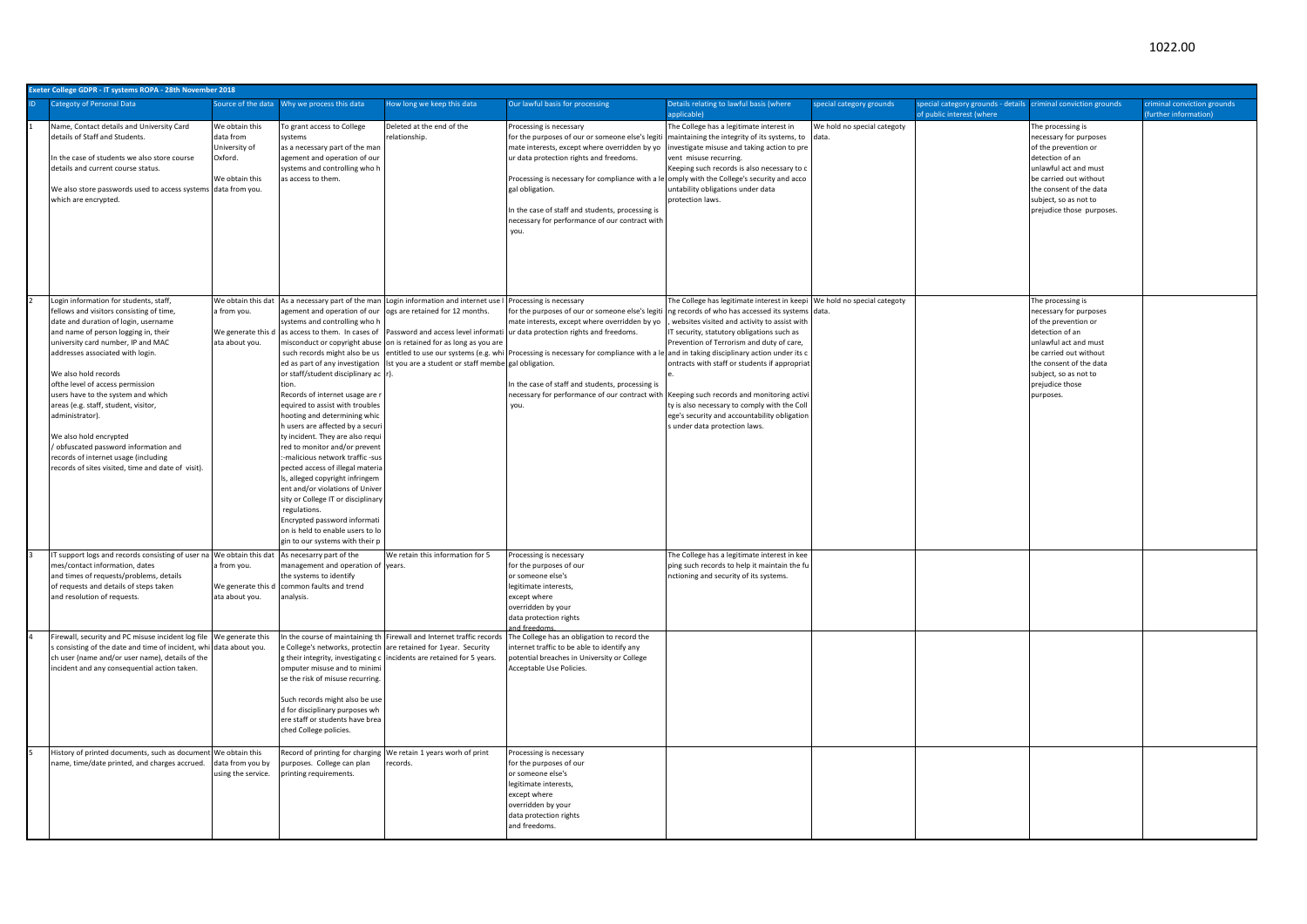| Exeter College GDPR - IT systems ROPA - 28th November 2018                                                                                                                                                                                                                                                                                                                                                                                                                                                                                                                 |                                                                           |                                                                                                                                                                                                                                                                                                                                                                                                                                                                                                                                                                                                                                                                                                       |                                                                                                                                                                                                                                                                                                                                |                                                                                                                                                                                                                                                                                                                                                                                                                                                                       |                                                                                                                                                                                                                                                                                                                                                                                                                                                        |                             |                                                                                             |                                                                                                                                                                                                                               |                                                     |  |  |  |
|----------------------------------------------------------------------------------------------------------------------------------------------------------------------------------------------------------------------------------------------------------------------------------------------------------------------------------------------------------------------------------------------------------------------------------------------------------------------------------------------------------------------------------------------------------------------------|---------------------------------------------------------------------------|-------------------------------------------------------------------------------------------------------------------------------------------------------------------------------------------------------------------------------------------------------------------------------------------------------------------------------------------------------------------------------------------------------------------------------------------------------------------------------------------------------------------------------------------------------------------------------------------------------------------------------------------------------------------------------------------------------|--------------------------------------------------------------------------------------------------------------------------------------------------------------------------------------------------------------------------------------------------------------------------------------------------------------------------------|-----------------------------------------------------------------------------------------------------------------------------------------------------------------------------------------------------------------------------------------------------------------------------------------------------------------------------------------------------------------------------------------------------------------------------------------------------------------------|--------------------------------------------------------------------------------------------------------------------------------------------------------------------------------------------------------------------------------------------------------------------------------------------------------------------------------------------------------------------------------------------------------------------------------------------------------|-----------------------------|---------------------------------------------------------------------------------------------|-------------------------------------------------------------------------------------------------------------------------------------------------------------------------------------------------------------------------------|-----------------------------------------------------|--|--|--|
| <b>Categoty of Personal Data</b>                                                                                                                                                                                                                                                                                                                                                                                                                                                                                                                                           |                                                                           |                                                                                                                                                                                                                                                                                                                                                                                                                                                                                                                                                                                                                                                                                                       | How long we keep this data                                                                                                                                                                                                                                                                                                     | Our lawful basis for processing                                                                                                                                                                                                                                                                                                                                                                                                                                       | Details relating to lawful basis (where<br>applicable)                                                                                                                                                                                                                                                                                                                                                                                                 | special category grounds    | special category grounds - details criminal conviction grounds<br>of public interest (where |                                                                                                                                                                                                                               | riminal conviction grounds<br>(further information) |  |  |  |
| Name, Contact details and University Card<br>details of Staff and Students.<br>In the case of students we also store course<br>details and current course status.<br>We also store passwords used to access systems data from you.<br>which are encrypted.                                                                                                                                                                                                                                                                                                                 | We obtain this<br>data from<br>University of<br>Oxford.<br>We obtain this | To grant access to College<br>systems<br>as a necessary part of the man<br>agement and operation of our<br>systems and controlling who h<br>as access to them.                                                                                                                                                                                                                                                                                                                                                                                                                                                                                                                                        | Deleted at the end of the<br>relationship.                                                                                                                                                                                                                                                                                     | Processing is necessary<br>for the purposes of our or someone else's legiti maintaining the integrity of its systems, to data.<br>mate interests, except where overridden by yo<br>ur data protection rights and freedoms.<br>Processing is necessary for compliance with a le omply with the College's security and acco<br>gal obligation.<br>In the case of staff and students, processing is<br>necessary for performance of our contract with<br>vou.            | The College has a legitimate interest in<br>ivestigate misuse and taking action to pre<br>ent misuse recurring.<br>Keeping such records is also necessary to o<br>untability obligations under data<br>protection laws.                                                                                                                                                                                                                                | We hold no special categoty |                                                                                             | The processing is<br>necessary for purposes<br>of the prevention or<br>detection of an<br>unlawful act and must<br>be carried out without<br>the consent of the data<br>subject, so as not to<br>prejudice those purposes.    |                                                     |  |  |  |
| Login information for students, staff,<br>fellows and visitors consisting of time,<br>date and duration of login, username<br>and name of person logging in, their<br>university card number, IP and MAC<br>addresses associated with login.<br>We also hold records<br>ofthe level of access permission<br>users have to the system and which<br>areas (e.g. staff, student, visitor,<br>administrator).<br>We also hold encrypted<br>/ obfuscated password information and<br>records of internet usage (including<br>records of sites visited, time and date of visit). | a from you.<br>We generate this c<br>ata about you.                       | agement and operation of our<br>systems and controlling who h<br>such records might also be us<br>ed as part of any investigation<br>or staff/student disciplinary ac r).<br>tion<br>Records of internet usage are<br>equired to assist with troubles<br>hooting and determining whic<br>h users are affected by a secur<br>ty incident. They are also requ<br>ed to monitor and/or prevent<br>-malicious network traffic -sus<br>pected access of illegal materia<br>Is, alleged copyright infringem<br>ent and/or violations of Univer<br>sity or College IT or disciplinary<br>regulations.<br>Encrypted password informati<br>on is held to enable users to lo<br>gin to our systems with their p | We obtain this dat As a necessary part of the man Login information and internet use I<br>ogs are retained for 12 months.<br>as access to them. In cases of Password and access level informati<br>misconduct or copyright abuse on is retained for as long as you are<br>Ist you are a student or staff membe gal obligation. | Processing is necessary<br>or the purposes of our or someone else's legiti<br>nate interests, except where overridden by yo<br>ur data protection rights and freedoms.<br>entitled to use our systems (e.g. whi Processing is necessary for compliance with a le and in taking disciplinary action under its c<br>n the case of staff and students, processing is<br>necessary for performance of our contract with Keeping such records and monitoring activi<br>vou | The College has legitimate interest in keepi We hold no special categoty<br>ng records of who has accessed its systems data.<br>websites visited and activity to assist with<br>T security, statutory obligations such as<br>Prevention of Terrorism and duty of care,<br>ontracts with staff or students if appropriat<br>ty is also necessary to comply with the Coll<br>ege's security and accountability obligation<br>under data protection laws. |                             |                                                                                             | The processing is<br>necessary for purposes<br>of the prevention or<br>detection of an<br>unlawful act and must<br>be carried out without<br>the consent of the data<br>subject, so as not to<br>prejudice those<br>purposes. |                                                     |  |  |  |
| IT support logs and records consisting of user na We obtain this dat As necesarry part of the<br>mes/contact information, dates<br>and times of requests/problems, details<br>of requests and details of steps taken<br>and resolution of requests.                                                                                                                                                                                                                                                                                                                        | a from you.<br>We generate this d<br>ata about you.                       | management and operation of years.<br>the systems to identify<br>common faults and trend<br>analysis.                                                                                                                                                                                                                                                                                                                                                                                                                                                                                                                                                                                                 | We retain this information for 5                                                                                                                                                                                                                                                                                               | Processing is necessary<br>for the purposes of our<br>or someone else's<br>legitimate interests,<br>except where<br>verridden by your<br>data protection rights                                                                                                                                                                                                                                                                                                       | The College has a legitimate interest in kee<br>ping such records to help it maintain the fu<br>nctioning and security of its systems.                                                                                                                                                                                                                                                                                                                 |                             |                                                                                             |                                                                                                                                                                                                                               |                                                     |  |  |  |
| Firewall, security and PC misuse incident log file We generate this<br>s consisting of the date and time of incident, while data about you.<br>ch user (name and/or user name), details of the<br>incident and any consequential action taken.                                                                                                                                                                                                                                                                                                                             |                                                                           | omputer misuse and to minim<br>se the risk of misuse recurring.<br>Such records might also be use<br>d for disciplinary purposes wh<br>ere staff or students have brea<br>ched College policies.                                                                                                                                                                                                                                                                                                                                                                                                                                                                                                      | In the course of maintaining the Firewall and Internet traffic records<br>e College's networks, protectin are retained for 1year. Security<br>g their integrity, investigating c incidents are retained for 5 years.                                                                                                           | The College has an obligation to record the<br>nternet traffic to be able to identify any<br>ootential breaches in University or College<br>cceptable Use Policies.                                                                                                                                                                                                                                                                                                   |                                                                                                                                                                                                                                                                                                                                                                                                                                                        |                             |                                                                                             |                                                                                                                                                                                                                               |                                                     |  |  |  |
| History of printed documents, such as document. We obtain this<br>name, time/date printed, and charges accrued.                                                                                                                                                                                                                                                                                                                                                                                                                                                            | data from you by<br>using the service.                                    | purposes. College can plan<br>printing requirements.                                                                                                                                                                                                                                                                                                                                                                                                                                                                                                                                                                                                                                                  | Record of printing for charging We retain 1 years worh of print<br>records.                                                                                                                                                                                                                                                    | Processing is necessary<br>for the purposes of our<br>or someone else's<br>legitimate interests,<br>except where<br>overridden by your<br>data protection rights<br>and freedoms.                                                                                                                                                                                                                                                                                     |                                                                                                                                                                                                                                                                                                                                                                                                                                                        |                             |                                                                                             |                                                                                                                                                                                                                               |                                                     |  |  |  |